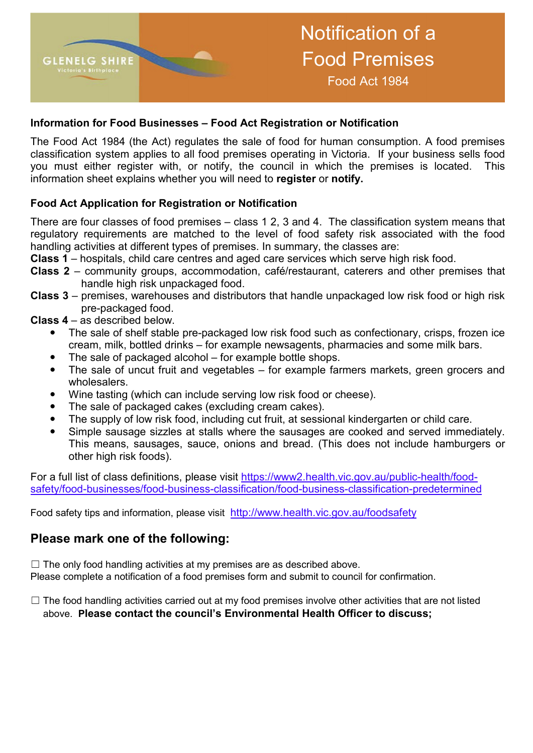

#### **Information for Food Businesses – Food Act Registration or Notification**

The Food Act 1984 (the Act) regulates the sale of food for human consumption. A food premises classification system applies to all food premises operating in Victoria. If your business sells food you must either register with, or notify, the council in which the premises is located. This information sheet explains whether you will need to **register** or **notify.**

#### **Food Act Application for Registration or Notification**

There are four classes of food premises – class 1 2, 3 and 4. The classification system means that regulatory requirements are matched to the level of food safety risk associated with the food handling activities at different types of premises. In summary, the classes are:

**Class 1** – hospitals, child care centres and aged care services which serve high risk food.

- **Class 2** community groups, accommodation, café/restaurant, caterers and other premises that handle high risk unpackaged food.
- **Class 3** premises, warehouses and distributors that handle unpackaged low risk food or high risk pre-packaged food.
- **Class 4** as described below.
	- The sale of shelf stable pre-packaged low risk food such as confectionary, crisps, frozen ice cream, milk, bottled drinks – for example newsagents, pharmacies and some milk bars.
	- The sale of packaged alcohol for example bottle shops.
	- The sale of uncut fruit and vegetables for example farmers markets, green grocers and wholesalers.
	- Wine tasting (which can include serving low risk food or cheese).
	- The sale of packaged cakes (excluding cream cakes).
	- The supply of low risk food, including cut fruit, at sessional kindergarten or child care.
	- Simple sausage sizzles at stalls where the sausages are cooked and served immediately. This means, sausages, sauce, onions and bread. (This does not include hamburgers or other high risk foods).

For a full list of class definitions, please visit https://www2.health.vic.gov.au/public-health/foodsafety/food-businesses/food-business-classification/food-business-classification-predetermined

Food safety tips and information, please visit http://www.health.vic.gov.au/foodsafety

### **Please mark one of the following:**

 $\Box$  The only food handling activities at my premises are as described above. Please complete a notification of a food premises form and submit to council for confirmation.

 $\Box$  The food handling activities carried out at my food premises involve other activities that are not listed above. **Please contact the council's Environmental Health Officer to discuss;**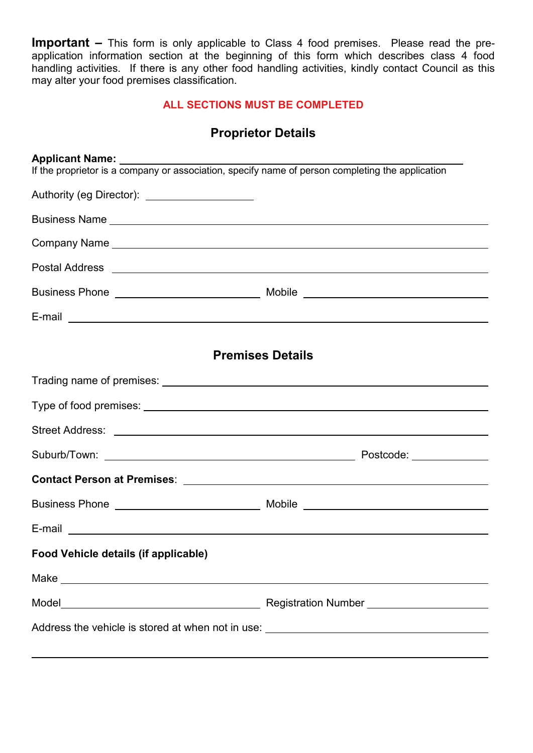Application to Register a Enterpresent the common section at the beginning of this form which describes class 4 food handling activities. If there is any other food handling activities, kindly contact Council as this **Important –** This form is only applicable to Class 4 food premises. Please read the premay alter your food premises classification.

### **ALL SECTIONS MUST BE COMPLETED**

# **Proprietor Details**

| If the proprietor is a company or association, specify name of person completing the application |                                      |
|--------------------------------------------------------------------------------------------------|--------------------------------------|
| Authority (eg Director): _____________________                                                   |                                      |
|                                                                                                  |                                      |
|                                                                                                  |                                      |
|                                                                                                  |                                      |
|                                                                                                  |                                      |
|                                                                                                  |                                      |
| <b>Premises Details</b>                                                                          |                                      |
|                                                                                                  |                                      |
|                                                                                                  |                                      |
|                                                                                                  |                                      |
|                                                                                                  |                                      |
|                                                                                                  |                                      |
|                                                                                                  |                                      |
|                                                                                                  |                                      |
| Food Vehicle details (if applicable)                                                             |                                      |
|                                                                                                  |                                      |
|                                                                                                  | Registration Number<br><u>Letter</u> |
|                                                                                                  |                                      |